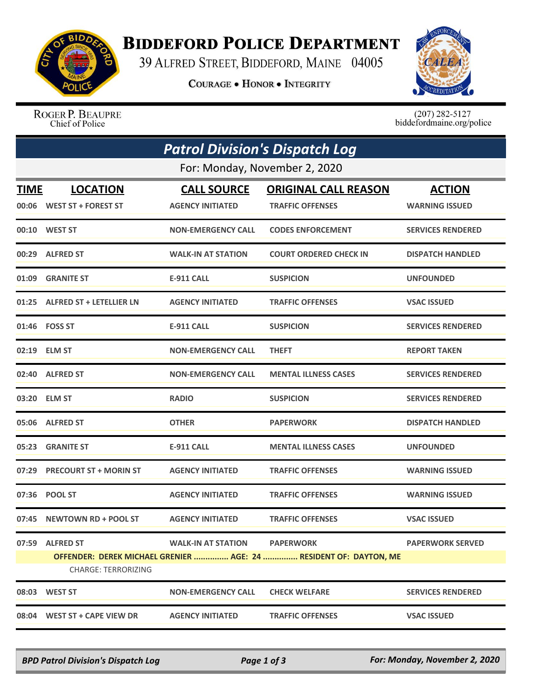

## **BIDDEFORD POLICE DEPARTMENT**

39 ALFRED STREET, BIDDEFORD, MAINE 04005

**COURAGE . HONOR . INTEGRITY** 



ROGER P. BEAUPRE Chief of Police

 $(207)$  282-5127 biddefordmaine.org/police

| <b>Patrol Division's Dispatch Log</b> |                                                |                                               |                                                                                       |                                        |  |  |  |
|---------------------------------------|------------------------------------------------|-----------------------------------------------|---------------------------------------------------------------------------------------|----------------------------------------|--|--|--|
| For: Monday, November 2, 2020         |                                                |                                               |                                                                                       |                                        |  |  |  |
| <b>TIME</b>                           | <b>LOCATION</b><br>00:06 WEST ST + FOREST ST   | <b>CALL SOURCE</b><br><b>AGENCY INITIATED</b> | <b>ORIGINAL CALL REASON</b><br><b>TRAFFIC OFFENSES</b>                                | <b>ACTION</b><br><b>WARNING ISSUED</b> |  |  |  |
|                                       | 00:10 WEST ST                                  | <b>NON-EMERGENCY CALL</b>                     | <b>CODES ENFORCEMENT</b>                                                              | <b>SERVICES RENDERED</b>               |  |  |  |
|                                       | 00:29 ALFRED ST                                | <b>WALK-IN AT STATION</b>                     | <b>COURT ORDERED CHECK IN</b>                                                         | <b>DISPATCH HANDLED</b>                |  |  |  |
| 01:09                                 | <b>GRANITE ST</b>                              | <b>E-911 CALL</b>                             | <b>SUSPICION</b>                                                                      | <b>UNFOUNDED</b>                       |  |  |  |
|                                       | 01:25 ALFRED ST + LETELLIER LN                 | <b>AGENCY INITIATED</b>                       | <b>TRAFFIC OFFENSES</b>                                                               | <b>VSAC ISSUED</b>                     |  |  |  |
|                                       | 01:46    FOSS ST                               | <b>E-911 CALL</b>                             | <b>SUSPICION</b>                                                                      | <b>SERVICES RENDERED</b>               |  |  |  |
|                                       | 02:19 ELM ST                                   | <b>NON-EMERGENCY CALL</b>                     | <b>THEFT</b>                                                                          | <b>REPORT TAKEN</b>                    |  |  |  |
|                                       | 02:40 ALFRED ST                                | <b>NON-EMERGENCY CALL</b>                     | <b>MENTAL ILLNESS CASES</b>                                                           | <b>SERVICES RENDERED</b>               |  |  |  |
|                                       | 03:20 ELM ST                                   | <b>RADIO</b>                                  | <b>SUSPICION</b>                                                                      | <b>SERVICES RENDERED</b>               |  |  |  |
|                                       | 05:06 ALFRED ST                                | <b>OTHER</b>                                  | <b>PAPERWORK</b>                                                                      | <b>DISPATCH HANDLED</b>                |  |  |  |
| 05:23                                 | <b>GRANITE ST</b>                              | <b>E-911 CALL</b>                             | <b>MENTAL ILLNESS CASES</b>                                                           | <b>UNFOUNDED</b>                       |  |  |  |
|                                       | 07:29 PRECOURT ST + MORIN ST                   | <b>AGENCY INITIATED</b>                       | <b>TRAFFIC OFFENSES</b>                                                               | <b>WARNING ISSUED</b>                  |  |  |  |
|                                       | 07:36 POOL ST                                  | <b>AGENCY INITIATED</b>                       | <b>TRAFFIC OFFENSES</b>                                                               | <b>WARNING ISSUED</b>                  |  |  |  |
| 07:45                                 | NEWTOWN RD + POOL ST                           | <b>AGENCY INITIATED</b>                       | <b>TRAFFIC OFFENSES</b>                                                               | <b>VSAC ISSUED</b>                     |  |  |  |
| 07:59                                 | <b>ALFRED ST</b><br><b>CHARGE: TERRORIZING</b> | <b>WALK-IN AT STATION</b>                     | <b>PAPERWORK</b><br>OFFENDER: DEREK MICHAEL GRENIER  AGE: 24  RESIDENT OF: DAYTON, ME | <b>PAPERWORK SERVED</b>                |  |  |  |
| 08:03                                 | <b>WEST ST</b>                                 | <b>NON-EMERGENCY CALL</b>                     | <b>CHECK WELFARE</b>                                                                  | <b>SERVICES RENDERED</b>               |  |  |  |
|                                       | 08:04 WEST ST + CAPE VIEW DR                   | <b>AGENCY INITIATED</b>                       | <b>TRAFFIC OFFENSES</b>                                                               | <b>VSAC ISSUED</b>                     |  |  |  |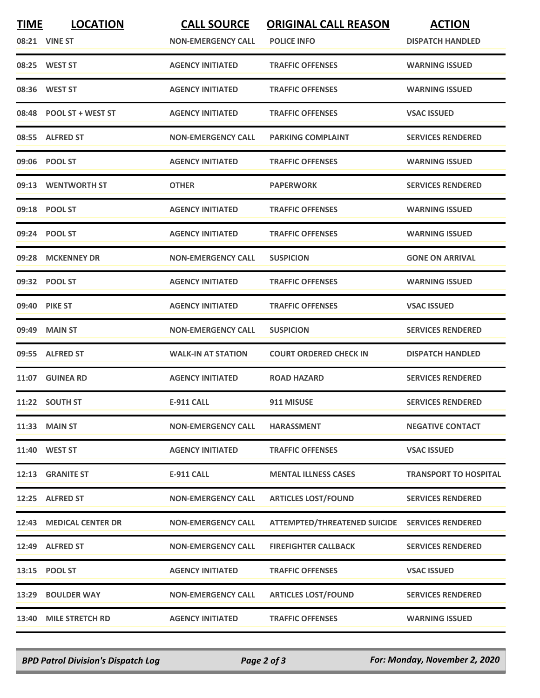| <b>TIME</b> | <b>LOCATION</b>         | <b>CALL SOURCE</b>        | <b>ORIGINAL CALL REASON</b>                    | <b>ACTION</b>                |
|-------------|-------------------------|---------------------------|------------------------------------------------|------------------------------|
|             | 08:21 VINE ST           | <b>NON-EMERGENCY CALL</b> | <b>POLICE INFO</b>                             | <b>DISPATCH HANDLED</b>      |
|             | 08:25 WEST ST           | <b>AGENCY INITIATED</b>   | <b>TRAFFIC OFFENSES</b>                        | <b>WARNING ISSUED</b>        |
| 08:36       | <b>WEST ST</b>          | <b>AGENCY INITIATED</b>   | <b>TRAFFIC OFFENSES</b>                        | <b>WARNING ISSUED</b>        |
|             | 08:48 POOL ST + WEST ST | <b>AGENCY INITIATED</b>   | <b>TRAFFIC OFFENSES</b>                        | <b>VSAC ISSUED</b>           |
|             | 08:55 ALFRED ST         | <b>NON-EMERGENCY CALL</b> | <b>PARKING COMPLAINT</b>                       | <b>SERVICES RENDERED</b>     |
|             | 09:06 POOL ST           | <b>AGENCY INITIATED</b>   | <b>TRAFFIC OFFENSES</b>                        | <b>WARNING ISSUED</b>        |
| 09:13       | <b>WENTWORTH ST</b>     | <b>OTHER</b>              | <b>PAPERWORK</b>                               | <b>SERVICES RENDERED</b>     |
|             | 09:18 POOL ST           | <b>AGENCY INITIATED</b>   | <b>TRAFFIC OFFENSES</b>                        | <b>WARNING ISSUED</b>        |
|             | 09:24 POOL ST           | <b>AGENCY INITIATED</b>   | <b>TRAFFIC OFFENSES</b>                        | <b>WARNING ISSUED</b>        |
|             | 09:28 MCKENNEY DR       | <b>NON-EMERGENCY CALL</b> | <b>SUSPICION</b>                               | <b>GONE ON ARRIVAL</b>       |
|             | 09:32 POOL ST           | <b>AGENCY INITIATED</b>   | <b>TRAFFIC OFFENSES</b>                        | <b>WARNING ISSUED</b>        |
|             | 09:40 PIKE ST           | <b>AGENCY INITIATED</b>   | <b>TRAFFIC OFFENSES</b>                        | <b>VSAC ISSUED</b>           |
| 09:49       | <b>MAIN ST</b>          | <b>NON-EMERGENCY CALL</b> | <b>SUSPICION</b>                               | <b>SERVICES RENDERED</b>     |
|             | 09:55 ALFRED ST         | <b>WALK-IN AT STATION</b> | <b>COURT ORDERED CHECK IN</b>                  | <b>DISPATCH HANDLED</b>      |
|             | 11:07 GUINEA RD         | <b>AGENCY INITIATED</b>   | <b>ROAD HAZARD</b>                             | <b>SERVICES RENDERED</b>     |
|             | 11:22 SOUTH ST          | <b>E-911 CALL</b>         | 911 MISUSE                                     | <b>SERVICES RENDERED</b>     |
|             | 11:33 MAIN ST           | <b>NON-EMERGENCY CALL</b> | <b>HARASSMENT</b>                              | <b>NEGATIVE CONTACT</b>      |
|             | 11:40 WEST ST           | <b>AGENCY INITIATED</b>   | <b>TRAFFIC OFFENSES</b>                        | <b>VSAC ISSUED</b>           |
|             | 12:13 GRANITE ST        | <b>E-911 CALL</b>         | <b>MENTAL ILLNESS CASES</b>                    | <b>TRANSPORT TO HOSPITAL</b> |
|             | 12:25 ALFRED ST         | <b>NON-EMERGENCY CALL</b> | <b>ARTICLES LOST/FOUND</b>                     | <b>SERVICES RENDERED</b>     |
|             | 12:43 MEDICAL CENTER DR | <b>NON-EMERGENCY CALL</b> | ATTEMPTED/THREATENED SUICIDE SERVICES RENDERED |                              |
|             | 12:49 ALFRED ST         | <b>NON-EMERGENCY CALL</b> | <b>FIREFIGHTER CALLBACK</b>                    | <b>SERVICES RENDERED</b>     |
|             | 13:15 POOL ST           | <b>AGENCY INITIATED</b>   | <b>TRAFFIC OFFENSES</b>                        | <b>VSAC ISSUED</b>           |
|             | 13:29 BOULDER WAY       | <b>NON-EMERGENCY CALL</b> | <b>ARTICLES LOST/FOUND</b>                     | <b>SERVICES RENDERED</b>     |
|             | 13:40 MILE STRETCH RD   | <b>AGENCY INITIATED</b>   | <b>TRAFFIC OFFENSES</b>                        | <b>WARNING ISSUED</b>        |

*BPD Patrol Division's Dispatch Log Page 2 of 3 For: Monday, November 2, 2020*